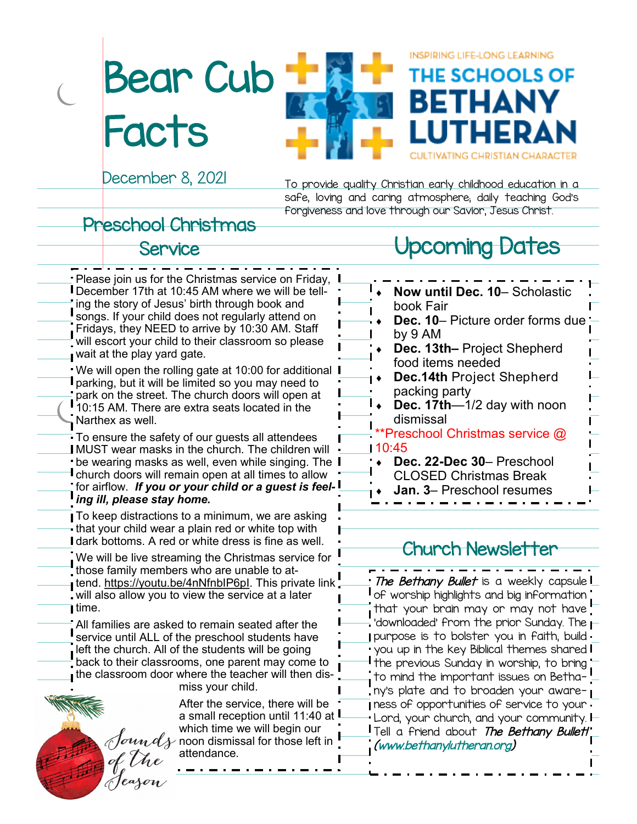Bear Cub **Facts** 



December 8, 2021

To provide quality Christian early childhood education in a safe, loving and caring atmosphere; daily teaching God's forgiveness and love through our Savior, Jesus Christ.

### Preschool Christmas

### Service

Please join us for the Christmas service on Friday, December 17th at 10:45 AM where we will be telling the story of Jesus' birth through book and songs. If your child does not regularly attend on Fridays, they NEED to arrive by 10:30 AM. Staff will escort your child to their classroom so please wait at the play yard gate. We will open the rolling gate at 10:00 for additional **I** parking, but it will be limited so you may need to park on the street. The church doors will open at 10:15 AM. There are extra seats located in the Narthex as well. To ensure the safety of our guests all attendees **IMUST wear masks in the church. The children will** be wearing masks as well, even while singing. The church doors will remain open at all times to allow for airflow. *If you or your child or a guest is feeling ill, please stay home.* To keep distractions to a minimum, we are asking that your child wear a plain red or white top with **I** dark bottoms. A red or white dress is fine as well. We will be live streaming the Christmas service for those family members who are unable to attend. https://youtu.be/4nNfnblP6pl. This private link will also allow you to view the service at a later I time. All families are asked to remain seated after the service until ALL of the preschool students have

left the church. All of the students will be going back to their classrooms, one parent may come to the classroom door where the teacher will then dismiss your child.



After the service, there will be a small reception until 11:40 at which time we will begin our  $\mathcal{J}$ oundy noon dismissal for those left in attendance.

### Upcoming Dates

**INSPIRING LIFE-LONG LEARNING** 

THE SCHOOLS OF

| Now until Dec. 10- Scholastic                 |  |
|-----------------------------------------------|--|
| book Fair                                     |  |
| Dec. 10– Picture order forms due<br>$\bullet$ |  |
| by 9 AM                                       |  |
| Dec. 13th- Project Shepherd                   |  |
| food items needed                             |  |
| <b>Dec.14th Project Shepherd</b>              |  |
| packing party                                 |  |
| <b>Dec. 17th</b> —1/2 day with noon           |  |
| dismissal                                     |  |
| **Preschool Christmas service @               |  |
| 110:45                                        |  |
| Dec. 22-Dec 30- Preschool                     |  |
| <b>CLOSED Christmas Break</b>                 |  |
| <b>Jan. 3- Preschool resumes</b>              |  |
|                                               |  |

### Church Newsletter

The Bethany Bullet is a weekly capsule **I** of worship highlights and big information that your brain may or may not have  $\overline{\phantom{a}}$  'downloaded' from the prior Sunday. The  $\overline{\phantom{a}}$ purpose is to bolster you in faith, build you up in the key Biblical themes shared  $\mathsf I$  the previous Sunday in worship, to bring  $_\mathrm{I}$  to mind the important issues on Betha $^{-1}$ ny's plate and to broaden your aware**ness of opportunities of service to your :** Lord, your church, and your community. Tell a friend about *The Bethany Bullet!* [\(www.bethanylutheran.org\)](http://www.bethanylutheran.org)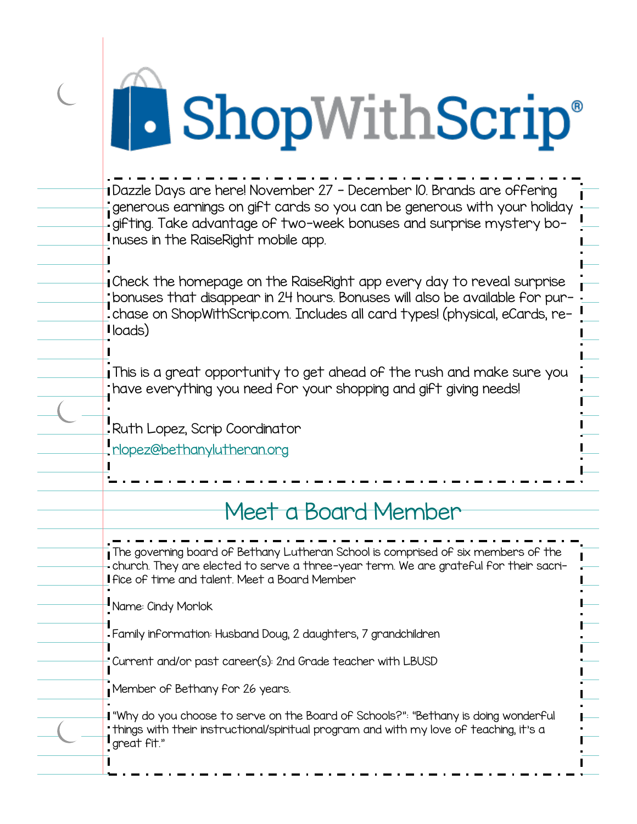# **A** ShopWithScrip®

 $\overline{C}$ 

| bonuses that disappear in 24 hours. Bonuses will also be available for pur-<br>-chase on ShopWithScrip.com. Includes all card types! (physical, eCards, re- |
|-------------------------------------------------------------------------------------------------------------------------------------------------------------|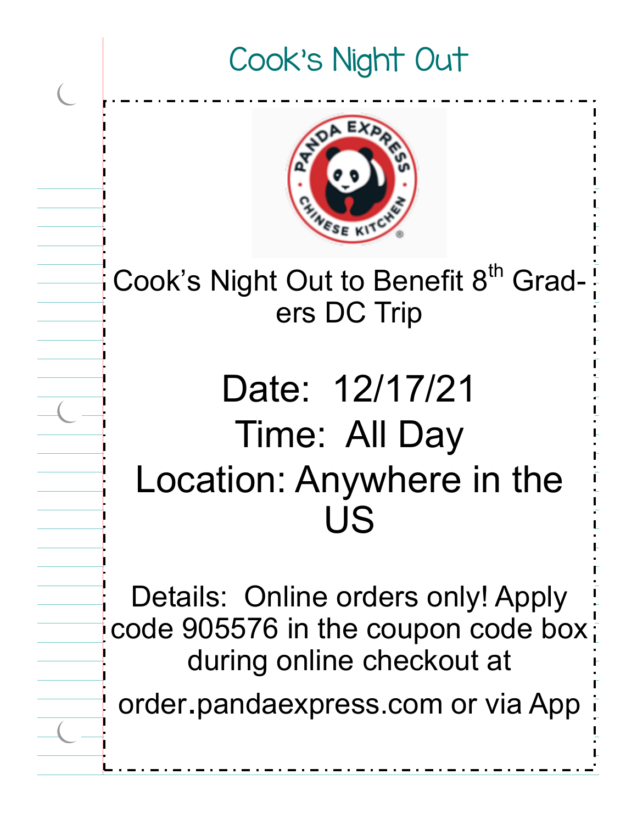### Cook's Night Out



Cook's Night Out to Benefit 8<sup>th</sup> Graders DC Trip

## Date: 12/17/21 Time: All Day Location: Anywhere in the US

Details: Online orders only! Apply code 905576 in the coupon code box during online checkout at

order.pandaexpress.com or via App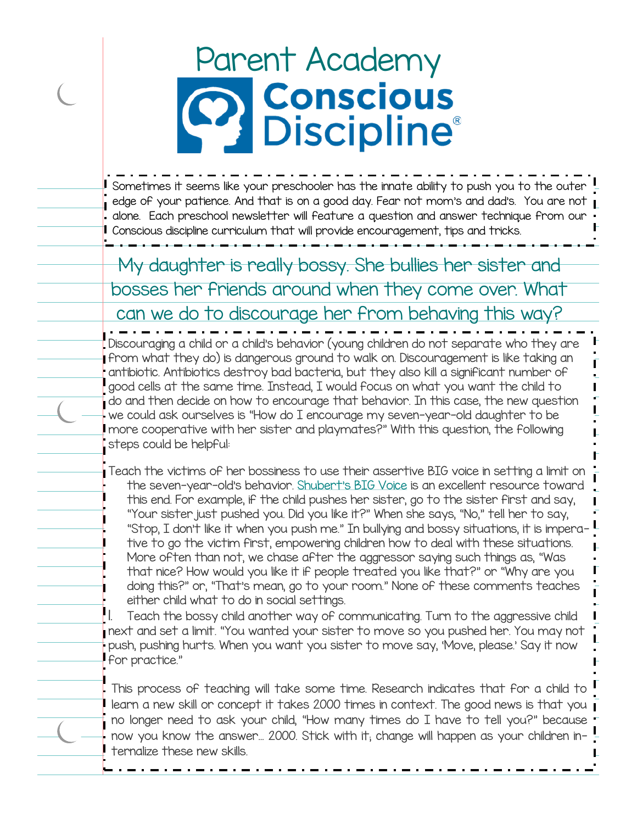# Parent Academy<br> **Parent Academy<br>
Parent Conscious**

I Sometimes it seems like your preschooler has the innate ability to push you to the outer  $\overline{\phantom{a}}$  edge of your patience. And that is on a good day. Fear not mom's and dad's. You are not  $\overline{\phantom{a}}$ alone. Each preschool newsletter will feature a question and answer technique from our Conscious discipline curriculum that will provide encouragement, tips and tricks.

My daughter is really bossy. She bullies her sister and bosses her friends around when they come over. What can we do to discourage her from behaving this way?

Discouraging a child or a child's behavior (young children do not separate who they are from what they do) is dangerous ground to walk on. Discouragement is like taking an antibiotic. Antibiotics destroy bad bacteria, but they also kill a significant number of good cells at the same time. Instead, I would focus on what you want the child to  $\dagger$  do and then decide on how to encourage that behavior. In this case, the new question we could ask ourselves is "How do I encourage my seven-year-old daughter to be more cooperative with her sister and playmates?" With this question, the following steps could be helpful:

Teach the victims of her bossiness to use their assertive BIG voice in setting a limit on the seven-year-old's behavior. Shubert'[s BIG Voice](https://consciousdiscipline.com/product/shuberts-big-voice/) is an excellent resource toward this end. For example, if the child pushes her sister, go to the sister first and say, "Your sister just pushed you. Did you like it?" When she says, "No," tell her to say, "Stop, I don't like it when you push me." In bullying and bossy situations, it is imperative to go the victim first, empowering children how to deal with these situations. More often than not, we chase after the aggressor saying such things as, "Was that nice? How would you like it if people treated you like that?" or "Why are you doing this?" or, "That's mean, go to your room." None of these comments teaches either child what to do in social settings.

Teach the bossy child another way of communicating. Turn to the aggressive child next and set a limit. "You wanted your sister to move so you pushed her. You may not push, pushing hurts. When you want you sister to move say, 'Move, please.' Say it now for practice."

This process of teaching will take some time. Research indicates that for a child to learn a new skill or concept it takes 2000 times in context. The good news is that you no longer need to ask your child, "How many times do I have to tell you?" because now you know the answer… 2000. Stick with it; change will happen as your children internalize these new skills.